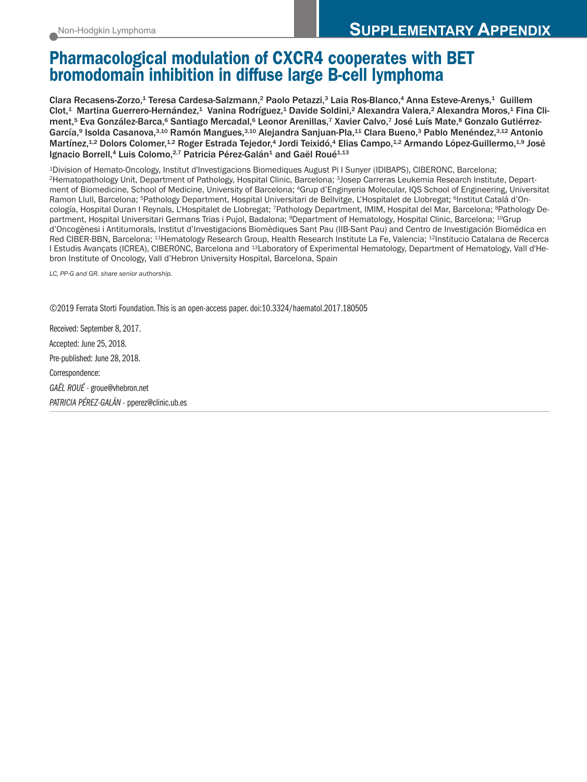# **Pharmacological modulation of CXCR4 cooperates with BET bromodomain inhibition in diffuse large B-cell lymphoma**

Clara Recasens-Zorzo,<sup>1</sup> Teresa Cardesa-Salzmann,<sup>2</sup> Paolo Petazzi,<sup>3</sup> Laia Ros-Blanco,<sup>4</sup> Anna Esteve-Arenys,<sup>1</sup> Guillem Clot,1 Martina Guerrero-Hernández,1 Vanina Rodríguez,1 Davide Soldini,<sup>2</sup> Alexandra Valera,<sup>2</sup> Alexandra Moros,1 Fina Climent,<sup>5</sup> Eva González-Barca,<sup>6</sup> Santiago Mercadal,<sup>6</sup> Leonor Arenillas,<sup>7</sup> Xavier Calvo,<sup>7</sup> José Luís Mate,<sup>8</sup> Gonzalo Gutiérrez-García,<sup>9</sup> Isolda Casanova,<sup>3,10</sup> Ramón Mangues,<sup>3,10</sup> Alejandra Sanjuan-Pla,<sup>11</sup> Clara Bueno,<sup>3</sup> Pablo Menéndez,<sup>3,12</sup> Antonio Martínez,1,2 Dolors Colomer,1,2 Roger Estrada Tejedor,4 Jordi Teixidó,4 Elias Campo,1,2 Armando López-Guillermo,1,9 José Ignacio Borrell,<sup>4</sup> Luis Colomo,<sup>2,7</sup> Patricia Pérez-Galán<sup>1</sup> and Gaël Roué<sup>1,13</sup>

1Division of Hemato-Oncology, Institut d'Investigacions Biomediques August Pi I Sunyer (IDIBAPS), CIBERONC, Barcelona; 2Hematopathology Unit, Department of Pathology, Hospital Clinic, Barcelona; 3Josep Carreras Leukemia Research Institute, Department of Biomedicine, School of Medicine, University of Barcelona; 4Grup d'Enginyeria Molecular, IQS School of Engineering, Universitat Ramon Llull, Barcelona; <sup>5</sup>Pathology Department, Hospital Universitari de Bellvitge, L'Hospitalet de Llobregat; <sup>6</sup>Institut Catalá d'Oncología, Hospital Duran I Reynals, L'Hospitalet de Llobregat; 7Pathology Department, IMIM, Hospital del Mar, Barcelona; 8Pathology Department, Hospital Universitari Germans Trias i Pujol, Badalona; 9Department of Hematology, Hospital Clinic, Barcelona; 10Grup d'Oncogènesi i Antitumorals, lnstitut d'Investigacions Biomèdiques Sant Pau (IIB-Sant Pau) and Centro de Investigación Biomédica en Red CIBER-BBN, Barcelona; 11Hematology Research Group, Health Research Institute La Fe, Valencia; 12Institucio Catalana de Recerca I Estudis Avançats (ICREA), CIBERONC, Barcelona and 13Laboratory of Experimental Hematology, Department of Hematology, Vall d'Hebron Institute of Oncology, Vall d'Hebron University Hospital, Barcelona, Spain

*LC, PP-G and GR. share senior authorship.*

©2019 Ferrata Storti Foundation.This is an open-access paper. doi:10.3324/haematol.2017.180505

Received: September 8, 2017. Accepted: June 25, 2018. Pre-published: June 28, 2018. Correspondence: *GAËL ROUÉ*- groue@vhebron.net *PATRICIA PÉREZ-GALÁN* - pperez@clinic.ub.es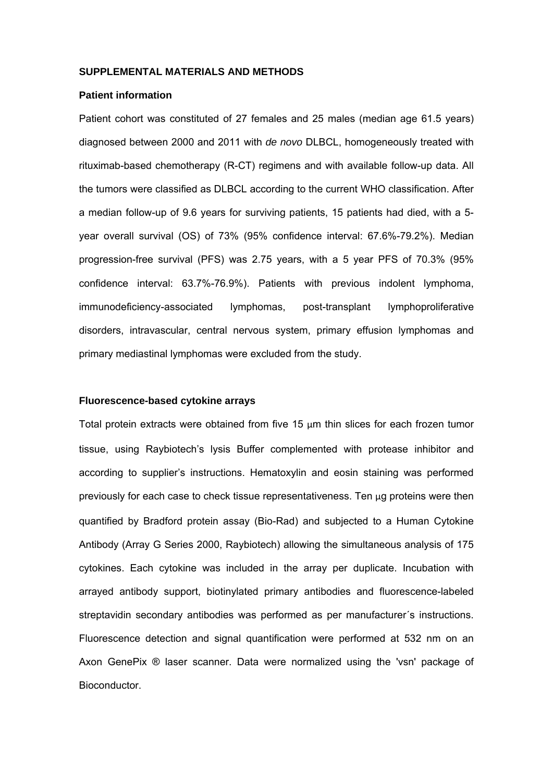#### **SUPPLEMENTAL MATERIALS AND METHODS**

#### **Patient information**

Patient cohort was constituted of 27 females and 25 males (median age 61.5 years) diagnosed between 2000 and 2011 with *de novo* DLBCL, homogeneously treated with rituximab-based chemotherapy (R-CT) regimens and with available follow-up data. All the tumors were classified as DLBCL according to the current WHO classification. After a median follow-up of 9.6 years for surviving patients, 15 patients had died, with a 5 year overall survival (OS) of 73% (95% confidence interval: 67.6%-79.2%). Median progression-free survival (PFS) was 2.75 years, with a 5 year PFS of 70.3% (95% confidence interval: 63.7%-76.9%). Patients with previous indolent lymphoma, immunodeficiency-associated lymphomas, post-transplant lymphoproliferative disorders, intravascular, central nervous system, primary effusion lymphomas and primary mediastinal lymphomas were excluded from the study.

#### **Fluorescence-based cytokine arrays**

Total protein extracts were obtained from five 15 μm thin slices for each frozen tumor tissue, using Raybiotech's lysis Buffer complemented with protease inhibitor and according to supplier's instructions. Hematoxylin and eosin staining was performed previously for each case to check tissue representativeness. Ten μg proteins were then quantified by Bradford protein assay (Bio-Rad) and subjected to a Human Cytokine Antibody (Array G Series 2000, Raybiotech) allowing the simultaneous analysis of 175 cytokines. Each cytokine was included in the array per duplicate. Incubation with arrayed antibody support, biotinylated primary antibodies and fluorescence-labeled streptavidin secondary antibodies was performed as per manufacturer´s instructions. Fluorescence detection and signal quantification were performed at 532 nm on an Axon GenePix ® laser scanner. Data were normalized using the 'vsn' package of Bioconductor.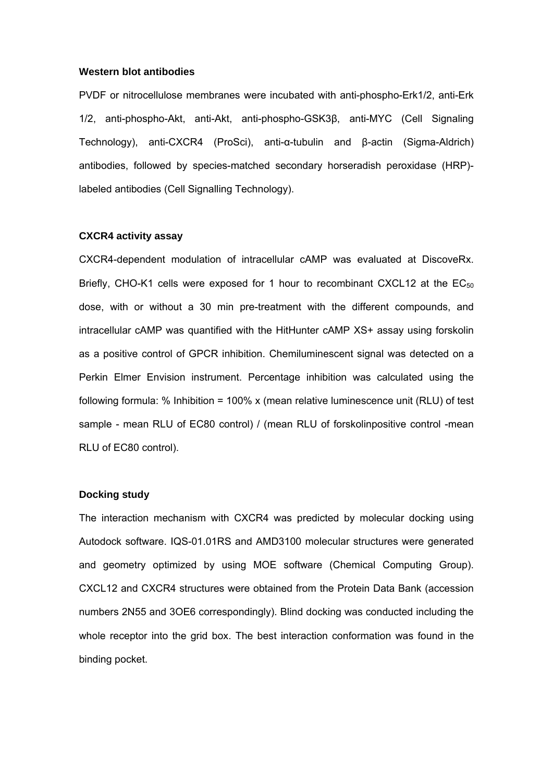#### **Western blot antibodies**

PVDF or nitrocellulose membranes were incubated with anti-phospho-Erk1/2, anti-Erk 1/2, anti-phospho-Akt, anti-Akt, anti-phospho-GSK3β, anti-MYC (Cell Signaling Technology), anti-CXCR4 (ProSci), anti-α-tubulin and β-actin (Sigma-Aldrich) antibodies, followed by species-matched secondary horseradish peroxidase (HRP) labeled antibodies (Cell Signalling Technology).

#### **CXCR4 activity assay**

CXCR4-dependent modulation of intracellular cAMP was evaluated at DiscoveRx. Briefly, CHO-K1 cells were exposed for 1 hour to recombinant CXCL12 at the  $EC_{50}$ dose, with or without a 30 min pre-treatment with the different compounds, and intracellular cAMP was quantified with the HitHunter cAMP XS+ assay using forskolin as a positive control of GPCR inhibition. Chemiluminescent signal was detected on a Perkin Elmer Envision instrument. Percentage inhibition was calculated using the following formula:  $%$  Inhibition = 100% x (mean relative luminescence unit (RLU) of test sample - mean RLU of EC80 control) / (mean RLU of forskolinpositive control -mean RLU of EC80 control).

#### **Docking study**

The interaction mechanism with CXCR4 was predicted by molecular docking using Autodock software. IQS-01.01RS and AMD3100 molecular structures were generated and geometry optimized by using MOE software (Chemical Computing Group). CXCL12 and CXCR4 structures were obtained from the Protein Data Bank (accession numbers 2N55 and 3OE6 correspondingly). Blind docking was conducted including the whole receptor into the grid box. The best interaction conformation was found in the binding pocket.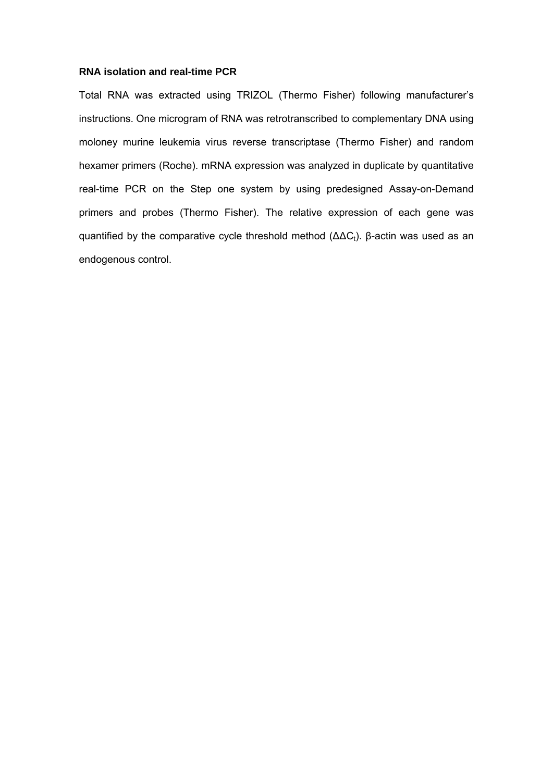#### **RNA isolation and real-time PCR**

Total RNA was extracted using TRIZOL (Thermo Fisher) following manufacturer's instructions. One microgram of RNA was retrotranscribed to complementary DNA using moloney murine leukemia virus reverse transcriptase (Thermo Fisher) and random hexamer primers (Roche). mRNA expression was analyzed in duplicate by quantitative real-time PCR on the Step one system by using predesigned Assay-on-Demand primers and probes (Thermo Fisher). The relative expression of each gene was quantified by the comparative cycle threshold method ( $ΔΔC<sub>t</sub>$ ). β-actin was used as an endogenous control.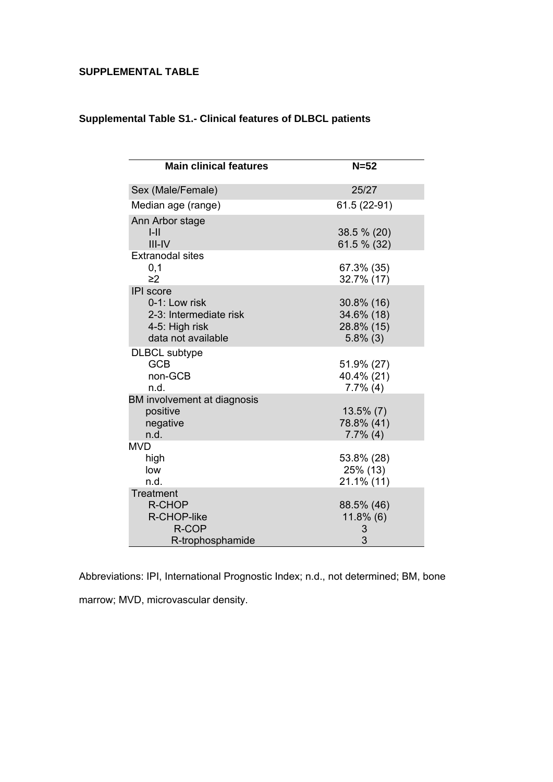## **SUPPLEMENTAL TABLE**

| <b>Main clinical features</b>                                                                       | $N=52$                                                |
|-----------------------------------------------------------------------------------------------------|-------------------------------------------------------|
| Sex (Male/Female)                                                                                   | 25/27                                                 |
| Median age (range)                                                                                  | 61.5 (22-91)                                          |
| Ann Arbor stage<br>$I-II$<br>$III$ -IV                                                              | 38.5 % (20)<br>61.5 % (32)                            |
| <b>Extranodal sites</b><br>0,1<br>$\geq$ 2                                                          | 67.3% (35)<br>32.7% (17)                              |
| <b>IPI</b> score<br>0-1: Low risk<br>2-3: Intermediate risk<br>4-5: High risk<br>data not available | 30.8% (16)<br>34.6% (18)<br>28.8% (15)<br>$5.8\%$ (3) |
| <b>DLBCL</b> subtype<br><b>GCB</b><br>non-GCB<br>n.d.                                               | 51.9% (27)<br>40.4% (21)<br>$7.7\%$ (4)               |
| BM involvement at diagnosis<br>positive<br>negative<br>n.d.                                         | $13.5\%$ (7)<br>78.8% (41)<br>$7.7\%$ (4)             |
| <b>MVD</b><br>high<br>low<br>n.d.                                                                   | 53.8% (28)<br>25% (13)<br>$21.1\%$ (11)               |
| Treatment<br><b>R-CHOP</b><br>R-CHOP-like<br>R-COP<br>R-trophosphamide                              | 88.5% (46)<br>$11.8\%$ (6)<br>3<br>3                  |

## **Supplemental Table S1.- Clinical features of DLBCL patients**

Abbreviations: IPI, International Prognostic Index; n.d., not determined; BM, bone marrow; MVD, microvascular density.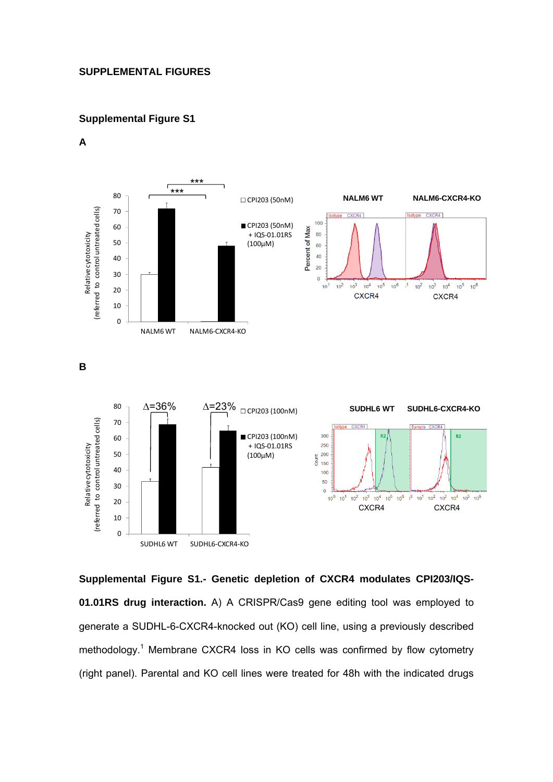## **SUPPLEMENTAL FIGURES**

## **Supplemental Figure S1**

**A** 



**Supplemental Figure S1.- Genetic depletion of CXCR4 modulates CPI203/IQS-01.01RS drug interaction.** A) A CRISPR/Cas9 gene editing tool was employed to generate a SUDHL-6-CXCR4-knocked out (KO) cell line, using a previously described methodology.<sup>1</sup> Membrane CXCR4 loss in KO cells was confirmed by flow cytometry (right panel). Parental and KO cell lines were treated for 48h with the indicated drugs